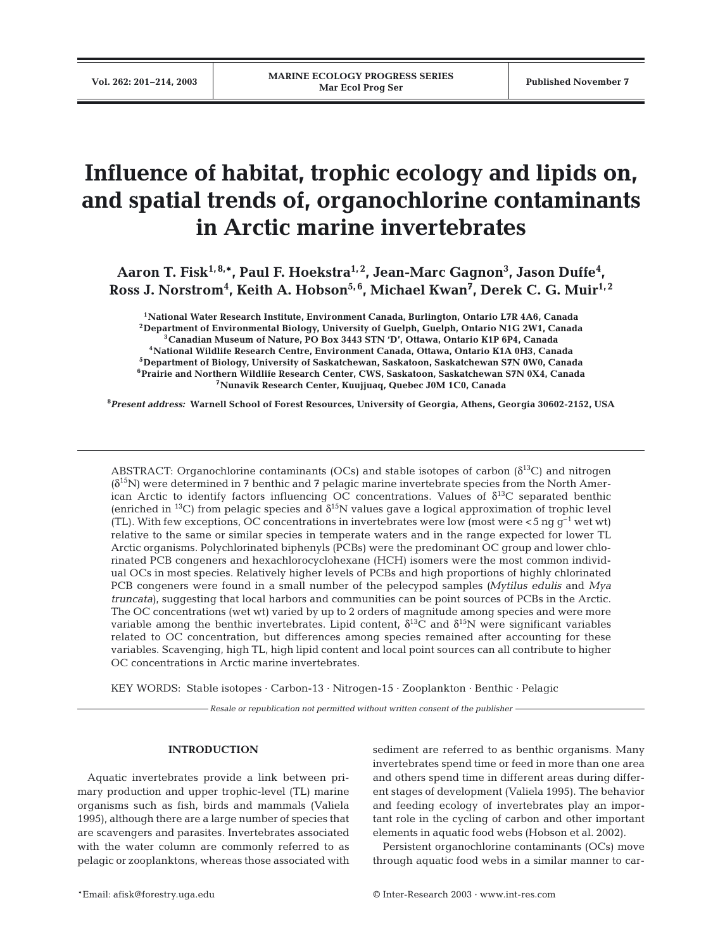# **Influence of habitat, trophic ecology and lipids on, and spatial trends of, organochlorine contaminants in Arctic marine invertebrates**

Aaron T. Fisk<sup>1,8,</sup>\*, Paul F. Hoekstra<sup>1,2</sup>, Jean-Marc Gagnon<sup>3</sup>, Jason Duffe<sup>4</sup>,  $\rm{Ross~J.~Norstrom^{4}$ , Keith A. Hobson<sup>5,6</sup>, Michael Kwan<sup>7</sup>, Derek C. G. Muir<sup>1,2</sup>

**1National Water Research Institute, Environment Canada, Burlington, Ontario L7R 4A6, Canada 2Department of Environmental Biology, University of Guelph, Guelph, Ontario N1G 2W1, Canada 3Canadian Museum of Nature, PO Box 3443 STN 'D', Ottawa, Ontario K1P 6P4, Canada 4National Wildlife Research Centre, Environment Canada, Ottawa, Ontario K1A 0H3, Canada 5Department of Biology, University of Saskatchewan, Saskatoon, Saskatchewan S7N 0W0, Canada 6Prairie and Northern Wildlife Research Center, CWS, Saskatoon, Saskatchewan S7N 0X4, Canada 7Nunavik Research Center, Kuujjuaq, Quebec J0M 1C0, Canada**

**8** *Present address:* **Warnell School of Forest Resources, University of Georgia, Athens, Georgia 30602-2152, USA**

ABSTRACT: Organochlorine contaminants (OCs) and stable isotopes of carbon  $(\delta^{13}C)$  and nitrogen  $(\delta^{15}N)$  were determined in 7 benthic and 7 pelagic marine invertebrate species from the North American Arctic to identify factors influencing OC concentrations. Values of  $\delta^{13}$ C separated benthic (enriched in <sup>13</sup>C) from pelagic species and  $\delta^{15}N$  values gave a logical approximation of trophic level (TL). With few exceptions, OC concentrations in invertebrates were low (most were  $\lt 5$  ng  $q^{-1}$  wet wt) relative to the same or similar species in temperate waters and in the range expected for lower TL Arctic organisms. Polychlorinated biphenyls (PCBs) were the predominant OC group and lower chlorinated PCB congeners and hexachlorocyclohexane (HCH) isomers were the most common individual OCs in most species. Relatively higher levels of PCBs and high proportions of highly chlorinated PCB congeners were found in a small number of the pelecypod samples *(Mytilus edulis* and *Mya truncata)*, suggesting that local harbors and communities can be point sources of PCBs in the Arctic. The OC concentrations (wet wt) varied by up to 2 orders of magnitude among species and were more variable among the benthic invertebrates. Lipid content,  $\delta^{13}C$  and  $\delta^{15}N$  were significant variables related to OC concentration, but differences among species remained after accounting for these variables. Scavenging, high TL, high lipid content and local point sources can all contribute to higher OC concentrations in Arctic marine invertebrates.

KEY WORDS: Stable isotopes · Carbon-13 · Nitrogen-15 · Zooplankton · Benthic · Pelagic

*Resale or republication not permitted without written consent of the publisher*

# **INTRODUCTION**

Aquatic invertebrates provide a link between primary production and upper trophic-level (TL) marine organisms such as fish, birds and mammals (Valiela 1995), although there are a large number of species that are scavengers and parasites. Invertebrates associated with the water column are commonly referred to as pelagic or zooplanktons, whereas those associated with sediment are referred to as benthic organisms. Many invertebrates spend time or feed in more than one area and others spend time in different areas during different stages of development (Valiela 1995). The behavior and feeding ecology of invertebrates play an important role in the cycling of carbon and other important elements in aquatic food webs (Hobson et al. 2002).

Persistent organochlorine contaminants (OCs) move through aquatic food webs in a similar manner to car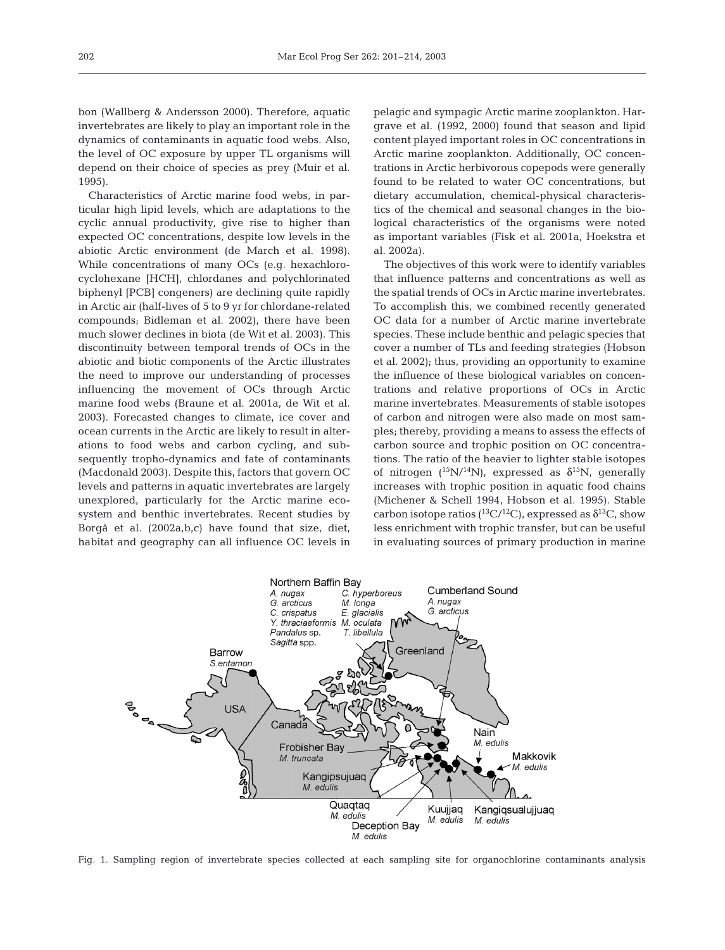bon (Wallberg & Andersson 2000). Therefore, aquatic invertebrates are likely to play an important role in the dynamics of contaminants in aquatic food webs. Also, the level of OC exposure by upper TL organisms will depend on their choice of species as prey (Muir et al. 1995).

Characteristics of Arctic marine food webs, in particular high lipid levels, which are adaptations to the cyclic annual productivity, give rise to higher than expected OC concentrations, despite low levels in the abiotic Arctic environment (de March et al. 1998). While concentrations of many OCs (e.g. hexachlorocyclohexane [HCH], chlordanes and polychlorinated biphenyl [PCB] congeners) are declining quite rapidly in Arctic air (half-lives of 5 to 9 yr for chlordane-related compounds; Bidleman et al. 2002), there have been much slower declines in biota (de Wit et al. 2003). This discontinuity between temporal trends of OCs in the abiotic and biotic components of the Arctic illustrates the need to improve our understanding of processes influencing the movement of OCs through Arctic marine food webs (Braune et al. 2001a, de Wit et al. 2003). Forecasted changes to climate, ice cover and ocean currents in the Arctic are likely to result in alterations to food webs and carbon cycling, and subsequently tropho-dynamics and fate of contaminants (Macdonald 2003). Despite this, factors that govern OC levels and patterns in aquatic invertebrates are largely unexplored, particularly for the Arctic marine ecosystem and benthic invertebrates. Recent studies by Borgå et al. (2002a,b,c) have found that size, diet, habitat and geography can all influence OC levels in

pelagic and sympagic Arctic marine zooplankton. Hargrave et al. (1992, 2000) found that season and lipid content played important roles in OC concentrations in Arctic marine zooplankton. Additionally, OC concentrations in Arctic herbivorous copepods were generally found to be related to water OC concentrations, but dietary accumulation, chemical-physical characteristics of the chemical and seasonal changes in the biological characteristics of the organisms were noted as important variables (Fisk et al. 2001a, Hoekstra et al. 2002a).

The objectives of this work were to identify variables that influence patterns and concentrations as well as the spatial trends of OCs in Arctic marine invertebrates. To accomplish this, we combined recently generated OC data for a number of Arctic marine invertebrate species. These include benthic and pelagic species that cover a number of TLs and feeding strategies (Hobson et al. 2002); thus, providing an opportunity to examine the influence of these biological variables on concentrations and relative proportions of OCs in Arctic marine invertebrates. Measurements of stable isotopes of carbon and nitrogen were also made on most samples; thereby, providing a means to assess the effects of carbon source and trophic position on OC concentrations. The ratio of the heavier to lighter stable isotopes of nitrogen  $(^{15}N/^{14}N)$ , expressed as  $\delta^{15}N$ , generally increases with trophic position in aquatic food chains (Michener & Schell 1994, Hobson et al. 1995). Stable carbon isotope ratios ( ${}^{13}C/{}^{12}C$ ), expressed as  $\delta {}^{13}C$ , show less enrichment with trophic transfer, but can be useful in evaluating sources of primary production in marine



Fig. 1. Sampling region of invertebrate species collected at each sampling site for organochlorine contaminants analysis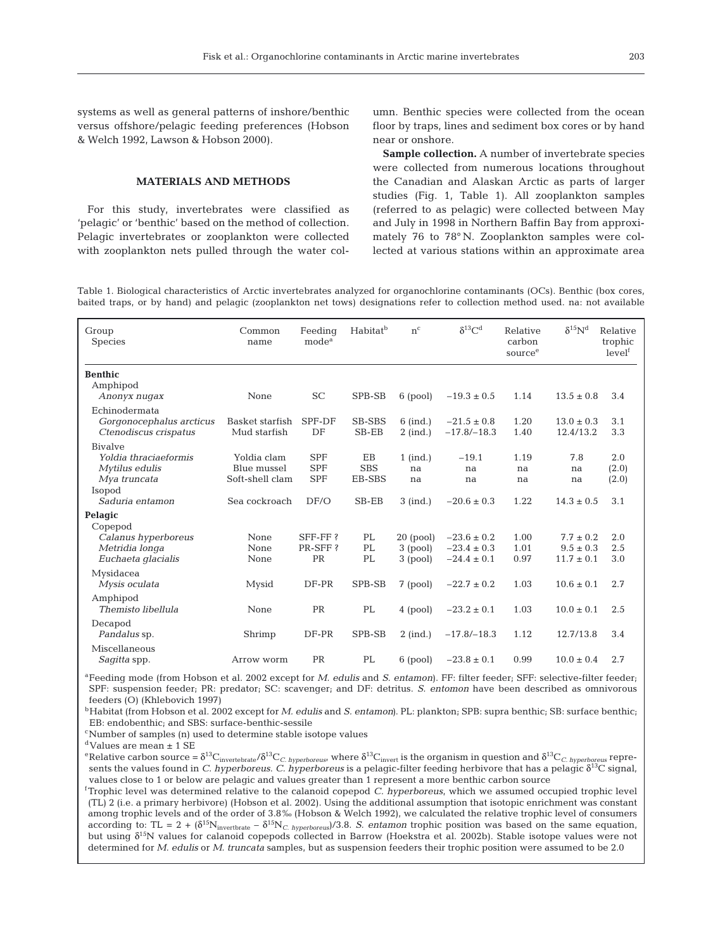systems as well as general patterns of inshore/benthic versus offshore/pelagic feeding preferences (Hobson & Welch 1992, Lawson & Hobson 2000).

# **MATERIALS AND METHODS**

For this study, invertebrates were classified as 'pelagic' or 'benthic' based on the method of collection. Pelagic invertebrates or zooplankton were collected with zooplankton nets pulled through the water col-

umn. Benthic species were collected from the ocean floor by traps, lines and sediment box cores or by hand near or onshore.

**Sample collection.** A number of invertebrate species were collected from numerous locations throughout the Canadian and Alaskan Arctic as parts of larger studies (Fig. 1, Table 1). All zooplankton samples (referred to as pelagic) were collected between May and July in 1998 in Northern Baffin Bay from approximately 76 to 78° N. Zooplankton samples were collected at various stations within an approximate area

Table 1. Biological characteristics of Arctic invertebrates analyzed for organochlorine contaminants (OCs). Benthic (box cores, baited traps, or by hand) and pelagic (zooplankton net tows) designations refer to collection method used. na: not available

| Group<br>Species                                                                    | Common<br>name                                | Feeding<br>mode <sup>a</sup>           | Habitat <sup>b</sup>       | $n^{c}$                  | $\delta^{13}$ C <sup>d</sup>       | Relative<br>carbon<br>source <sup>e</sup> | $\delta^{15}N^d$               | Relative<br>$\operatorname{trophic}$<br>level <sup>f</sup> |
|-------------------------------------------------------------------------------------|-----------------------------------------------|----------------------------------------|----------------------------|--------------------------|------------------------------------|-------------------------------------------|--------------------------------|------------------------------------------------------------|
| <b>Benthic</b>                                                                      |                                               |                                        |                            |                          |                                    |                                           |                                |                                                            |
| Amphipod<br>Anonyx nugax                                                            | None                                          | <b>SC</b>                              | SPB-SB                     | $6$ (pool)               | $-19.3 \pm 0.5$                    | 1.14                                      | $13.5 \pm 0.8$                 | 3.4                                                        |
| Echinodermata<br>Gorgonocephalus arcticus<br>Ctenodiscus crispatus                  | Basket starfish<br>Mud starfish               | SPF-DF<br>DF                           | <b>SB-SBS</b><br>$SB$ -EB  | $6$ (ind.)<br>$2$ (ind.) | $-21.5 \pm 0.8$<br>$-17.8/-18.3$   | 1.20<br>1.40                              | $13.0 \pm 0.3$<br>12.4/13.2    | 3.1<br>3.3                                                 |
| <b>Bivalve</b><br>Yoldia thraciaeformis<br>Mytilus edulis<br>Mya truncata<br>Isopod | Yoldia clam<br>Blue mussel<br>Soft-shell clam | <b>SPF</b><br><b>SPF</b><br><b>SPF</b> | EB<br><b>SBS</b><br>EB-SBS | $1$ (ind.)<br>na<br>na   | $-19.1$<br>na<br>na                | 1.19<br>na<br>na                          | 7.8<br>na<br>na                | 2.0<br>(2.0)<br>(2.0)                                      |
| Saduria entamon                                                                     | Sea cockroach                                 | DF/O                                   | SB-EB                      | $3$ (ind.)               | $-20.6 \pm 0.3$                    | 1.22                                      | $14.3 \pm 0.5$                 | 3.1                                                        |
| Pelagic<br>Copepod<br>Calanus hyperboreus<br>Metridia longa                         | None<br>None                                  | $SFF-FF?$<br>PR-SFF?                   | PL<br>PL                   | $20$ (pool)<br>3 (pool)  | $-23.6 \pm 0.2$<br>$-23.4 \pm 0.3$ | 1.00<br>1.01                              | $7.7 \pm 0.2$<br>$9.5 \pm 0.3$ | 2.0<br>2.5                                                 |
| Euchaeta glacialis                                                                  | None                                          | PR                                     | PL                         | 3 (pool)                 | $-24.4 \pm 0.1$                    | 0.97                                      | $11.7 \pm 0.1$                 | 3.0                                                        |
| Mysidacea<br>Mysis oculata                                                          | Mysid                                         | DF-PR                                  | SPB-SB                     | $7$ (pool)               | $-22.7 \pm 0.2$                    | 1.03                                      | $10.6 \pm 0.1$                 | 2.7                                                        |
| Amphipod<br>Themisto libellula                                                      | None                                          | PR                                     | PL                         | 4 (pool)                 | $-23.2 \pm 0.1$                    | 1.03                                      | $10.0 \pm 0.1$                 | 2.5                                                        |
| Decapod<br>Pandalus sp.                                                             | Shrimp                                        | DF-PR                                  | SPB-SB                     | $2$ (ind.)               | $-17.8/-18.3$                      | 1.12                                      | 12.7/13.8                      | 3.4                                                        |
| Miscellaneous<br><i>Sagitta</i> spp.                                                | Arrow worm                                    | <b>PR</b>                              | PL                         | $6$ (pool)               | $-23.8 \pm 0.1$                    | 0.99                                      | $10.0 \pm 0.4$                 | 2.7                                                        |

aFeeding mode (from Hobson et al. 2002 except for *M. edulis* and *S. entamon*). FF: filter feeder; SFF: selective-filter feeder; SPF: suspension feeder; PR: predator; SC: scavenger; and DF: detritus. *S. entomon* have been described as omnivorous feeders (O) (Khlebovich 1997)

bHabitat (from Hobson et al. 2002 except for *M. edulis* and *S. entamon)*. PL: plankton; SPB: supra benthic; SB: surface benthic; EB: endobenthic; and SBS: surface-benthic-sessile

cNumber of samples (n) used to determine stable isotope values

 $^{\rm d}$  Values are mean  $\pm$  1 SE

<sup>e</sup>Relative carbon source = δ<sup>13</sup>C<sub>invertebrate</sub>/δ<sup>13</sup>C<sub>*C. hyperboreus*, where δ<sup>13</sup>C<sub>invert</sub> is the organism in question and δ<sup>13</sup>C<sub>*C. hyperboreus* repre-</sub></sub> sents the values found in *C. hyperboreus*. *C. hyperboreus* is a pelagic-filter feeding herbivore that has a pelagic δ13C signal, values close to 1 or below are pelagic and values greater than 1 represent a more benthic carbon source

f Trophic level was determined relative to the calanoid copepod *C. hyperboreus*, which we assumed occupied trophic level (TL) 2 (i.e. a primary herbivore) (Hobson et al. 2002). Using the additional assumption that isotopic enrichment was constant among trophic levels and of the order of 3.8‰ (Hobson & Welch 1992), we calculated the relative trophic level of consumers according to: TL = 2 + (δ15Ninvertbrate – δ15N*C. hyperboreus*)/3.8. *S. entamon* trophic position was based on the same equation, but using δ<sup>15</sup>N values for calanoid copepods collected in Barrow (Hoekstra et al. 2002b). Stable isotope values were not determined for *M. edulis* or *M. truncata* samples, but as suspension feeders their trophic position were assumed to be 2.0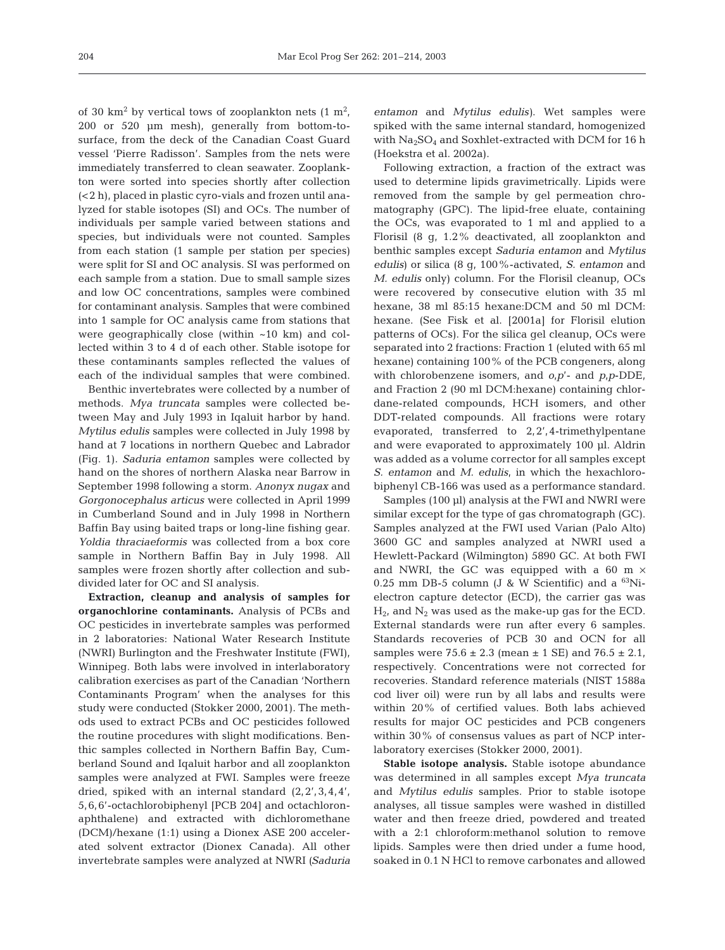of 30 km<sup>2</sup> by vertical tows of zooplankton nets  $(1 \text{ m}^2)$ , 200 or 520 µm mesh), generally from bottom-tosurface, from the deck of the Canadian Coast Guard vessel 'Pierre Radisson'. Samples from the nets were immediately transferred to clean seawater. Zooplankton were sorted into species shortly after collection (<2 h), placed in plastic cyro-vials and frozen until analyzed for stable isotopes (SI) and OCs. The number of individuals per sample varied between stations and species, but individuals were not counted. Samples from each station (1 sample per station per species) were split for SI and OC analysis. SI was performed on each sample from a station. Due to small sample sizes and low OC concentrations, samples were combined for contaminant analysis. Samples that were combined into 1 sample for OC analysis came from stations that were geographically close (within ~10 km) and collected within 3 to 4 d of each other. Stable isotope for these contaminants samples reflected the values of each of the individual samples that were combined.

Benthic invertebrates were collected by a number of methods. *Mya truncata* samples were collected between May and July 1993 in Iqaluit harbor by hand. *Mytilus edulis* samples were collected in July 1998 by hand at 7 locations in northern Quebec and Labrador (Fig. 1). *Saduria entamon* samples were collected by hand on the shores of northern Alaska near Barrow in September 1998 following a storm. *Anonyx nugax* and *Gorgonocephalus articus* were collected in April 1999 in Cumberland Sound and in July 1998 in Northern Baffin Bay using baited traps or long-line fishing gear. *Yoldia thraciaeformis* was collected from a box core sample in Northern Baffin Bay in July 1998. All samples were frozen shortly after collection and subdivided later for OC and SI analysis.

**Extraction, cleanup and analysis of samples for organochlorine contaminants.** Analysis of PCBs and OC pesticides in invertebrate samples was performed in 2 laboratories: National Water Research Institute (NWRI) Burlington and the Freshwater Institute (FWI), Winnipeg. Both labs were involved in interlaboratory calibration exercises as part of the Canadian 'Northern Contaminants Program' when the analyses for this study were conducted (Stokker 2000, 2001). The methods used to extract PCBs and OC pesticides followed the routine procedures with slight modifications. Benthic samples collected in Northern Baffin Bay, Cumberland Sound and Iqaluit harbor and all zooplankton samples were analyzed at FWI. Samples were freeze dried, spiked with an internal standard (2,2',3,4,4', 5,6,6'-octachlorobiphenyl [PCB 204] and octachloronaphthalene) and extracted with dichloromethane (DCM)/hexane (1:1) using a Dionex ASE 200 accelerated solvent extractor (Dionex Canada). All other invertebrate samples were analyzed at NWRI *(Saduria*

*entamon* and *Mytilus edulis)*. Wet samples were spiked with the same internal standard, homogenized with  $Na<sub>2</sub>SO<sub>4</sub>$  and Soxhlet-extracted with DCM for 16 h (Hoekstra et al. 2002a).

Following extraction, a fraction of the extract was used to determine lipids gravimetrically. Lipids were removed from the sample by gel permeation chromatography (GPC). The lipid-free eluate, containing the OCs, was evaporated to 1 ml and applied to a Florisil (8 g, 1.2% deactivated, all zooplankton and benthic samples except *Saduria entamon* and *Mytilus edulis*) or silica (8 g, 100%-activated, *S. entamon* and *M. edulis* only) column. For the Florisil cleanup, OCs were recovered by consecutive elution with 35 ml hexane, 38 ml 85:15 hexane:DCM and 50 ml DCM: hexane. (See Fisk et al. [2001a] for Florisil elution patterns of OCs). For the silica gel cleanup, OCs were separated into 2 fractions: Fraction 1 (eluted with 65 ml hexane) containing 100% of the PCB congeners, along with chlorobenzene isomers, and *o,p*'- and *p,p*-DDE, and Fraction 2 (90 ml DCM:hexane) containing chlordane-related compounds, HCH isomers, and other DDT-related compounds. All fractions were rotary evaporated, transferred to 2,2',4-trimethylpentane and were evaporated to approximately 100 µl. Aldrin was added as a volume corrector for all samples except *S. entamon* and *M. edulis*, in which the hexachlorobiphenyl CB-166 was used as a performance standard.

Samples (100 µl) analysis at the FWI and NWRI were similar except for the type of gas chromatograph (GC). Samples analyzed at the FWI used Varian (Palo Alto) 3600 GC and samples analyzed at NWRI used a Hewlett-Packard (Wilmington) 5890 GC. At both FWI and NWRI, the GC was equipped with a 60 m  $\times$ 0.25 mm DB-5 column (J & W Scientific) and a  $^{63}$ Nielectron capture detector (ECD), the carrier gas was  $H<sub>2</sub>$ , and  $N<sub>2</sub>$  was used as the make-up gas for the ECD. External standards were run after every 6 samples. Standards recoveries of PCB 30 and OCN for all samples were  $75.6 \pm 2.3$  (mean  $\pm 1$  SE) and  $76.5 \pm 2.1$ , respectively. Concentrations were not corrected for recoveries. Standard reference materials (NIST 1588a cod liver oil) were run by all labs and results were within 20% of certified values. Both labs achieved results for major OC pesticides and PCB congeners within 30% of consensus values as part of NCP interlaboratory exercises (Stokker 2000, 2001).

**Stable isotope analysis.** Stable isotope abundance was determined in all samples except *Mya truncata* and *Mytilus edulis* samples. Prior to stable isotope analyses, all tissue samples were washed in distilled water and then freeze dried, powdered and treated with a 2:1 chloroform:methanol solution to remove lipids. Samples were then dried under a fume hood, soaked in 0.1 N HCl to remove carbonates and allowed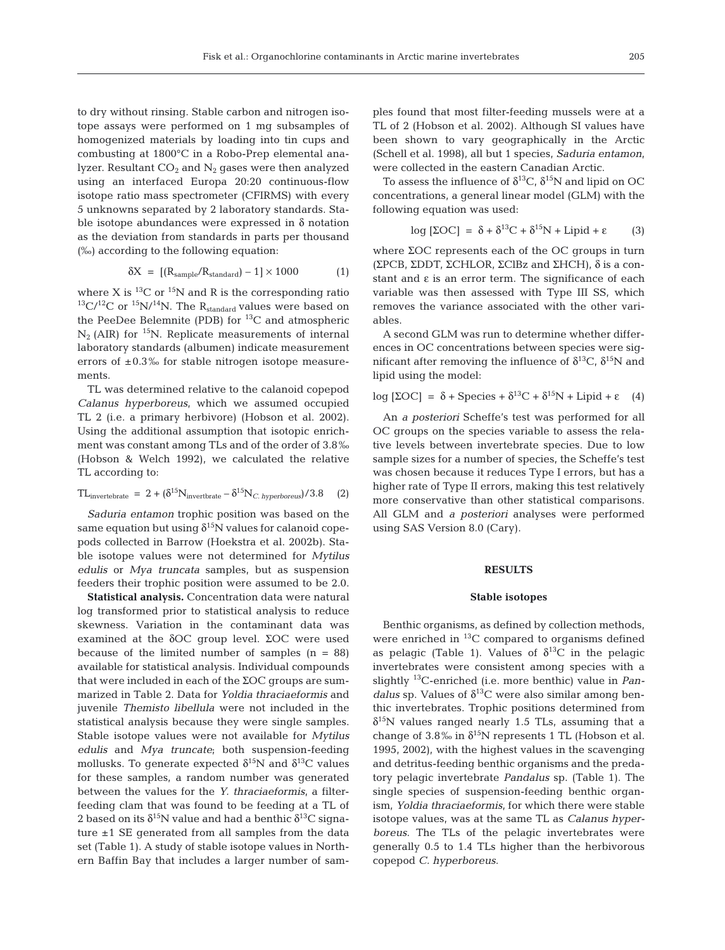to dry without rinsing. Stable carbon and nitrogen isotope assays were performed on 1 mg subsamples of homogenized materials by loading into tin cups and combusting at 1800°C in a Robo-Prep elemental analyzer. Resultant  $CO<sub>2</sub>$  and  $N<sub>2</sub>$  gases were then analyzed using an interfaced Europa 20:20 continuous-flow isotope ratio mass spectrometer (CFIRMS) with every 5 unknowns separated by 2 laboratory standards. Stable isotope abundances were expressed in  $\delta$  notation as the deviation from standards in parts per thousand (‰) according to the following equation:

$$
\delta X = [(R_{sample}/R_{standard}) - 1] \times 1000 \tag{1}
$$

where X is  ${}^{13}$ C or  ${}^{15}N$  and R is the corresponding ratio  $13\text{C}/12\text{C}$  or  $15\text{N}/14\text{N}$ . The R<sub>standard</sub> values were based on the PeeDee Belemnite (PDB) for  $^{13}$ C and atmospheric  $N_2$  (AIR) for <sup>15</sup>N. Replicate measurements of internal laboratory standards (albumen) indicate measurement errors of  $\pm 0.3$ % for stable nitrogen isotope measurements.

TL was determined relative to the calanoid copepod *Calanus hyperboreus*, which we assumed occupied TL 2 (i.e. a primary herbivore) (Hobson et al. 2002). Using the additional assumption that isotopic enrichment was constant among TLs and of the order of 3.8‰ (Hobson & Welch 1992), we calculated the relative TL according to:

$$
TL_{\text{invertebrate}} = 2 + (\delta^{15} N_{\text{invertbrate}} - \delta^{15} N_{C. \text{ hyperboreus}}) / 3.8 \quad (2)
$$

*Saduria entamon* trophic position was based on the same equation but using  $\delta^{15}N$  values for calanoid copepods collected in Barrow (Hoekstra et al. 2002b). Stable isotope values were not determined for *Mytilus edulis* or *Mya truncata* samples, but as suspension feeders their trophic position were assumed to be 2.0.

**Statistical analysis.** Concentration data were natural log transformed prior to statistical analysis to reduce skewness. Variation in the contaminant data was examined at the δOC group level. ΣOC were used because of the limited number of samples  $(n = 88)$ available for statistical analysis. Individual compounds that were included in each of the ΣOC groups are summarized in Table 2. Data for *Yoldia thraciaeformis* and juvenile *Themisto libellula* were not included in the statistical analysis because they were single samples. Stable isotope values were not available for *Mytilus edulis* and *Mya truncate*; both suspension-feeding mollusks. To generate expected  $\delta^{15}N$  and  $\delta^{13}C$  values for these samples, a random number was generated between the values for the *Y. thraciaeformis*, a filterfeeding clam that was found to be feeding at a TL of 2 based on its  $\delta^{15}N$  value and had a benthic  $\delta^{13}C$  signature ±1 SE generated from all samples from the data set (Table 1). A study of stable isotope values in Northern Baffin Bay that includes a larger number of samples found that most filter-feeding mussels were at a TL of 2 (Hobson et al. 2002). Although SI values have been shown to vary geographically in the Arctic (Schell et al. 1998), all but 1 species, *Saduria entamon*, were collected in the eastern Canadian Arctic.

To assess the influence of  $\delta^{13}C$ ,  $\delta^{15}N$  and lipid on OC concentrations, a general linear model (GLM) with the following equation was used:

$$
\log \left[ \Sigma \text{OC} \right] = \delta + \delta^{13} \text{C} + \delta^{15} \text{N} + \text{Lipid} + \epsilon \tag{3}
$$

where ΣOC represents each of the OC groups in turn (ΣPCB, ΣDDT, ΣCHLOR, ΣClBz and ΣHCH), δ is a constant and  $\varepsilon$  is an error term. The significance of each variable was then assessed with Type III SS, which removes the variance associated with the other variables.

A second GLM was run to determine whether differences in OC concentrations between species were significant after removing the influence of  $\delta^{13}C$ ,  $\delta^{15}N$  and lipid using the model:

$$
\log \left[ \Sigma \text{OC} \right] = \delta + \text{Species} + \delta^{13} \text{C} + \delta^{15} \text{N} + \text{Lipid} + \epsilon \quad (4)
$$

An *a posteriori* Scheffe's test was performed for all OC groups on the species variable to assess the relative levels between invertebrate species. Due to low sample sizes for a number of species, the Scheffe's test was chosen because it reduces Type I errors, but has a higher rate of Type II errors, making this test relatively more conservative than other statistical comparisons. All GLM and *a posteriori* analyses were performed using SAS Version 8.0 (Cary).

## **RESULTS**

# **Stable isotopes**

Benthic organisms, as defined by collection methods, were enriched in 13C compared to organisms defined as pelagic (Table 1). Values of  $\delta^{13}$ C in the pelagic invertebrates were consistent among species with a slightly 13C-enriched (i.e. more benthic) value in *Pandalus* sp. Values of  $\delta^{13}$ C were also similar among benthic invertebrates. Trophic positions determined from  $\delta^{15}$ N values ranged nearly 1.5 TLs, assuming that a change of 3.8‰ in  $\delta^{15}N$  represents 1 TL (Hobson et al. 1995, 2002), with the highest values in the scavenging and detritus-feeding benthic organisms and the predatory pelagic invertebrate *Pandalus* sp. (Table 1). The single species of suspension-feeding benthic organism, *Yoldia thraciaeformis*, for which there were stable isotope values, was at the same TL as *Calanus hyperboreus*. The TLs of the pelagic invertebrates were generally 0.5 to 1.4 TLs higher than the herbivorous copepod *C. hyperboreus*.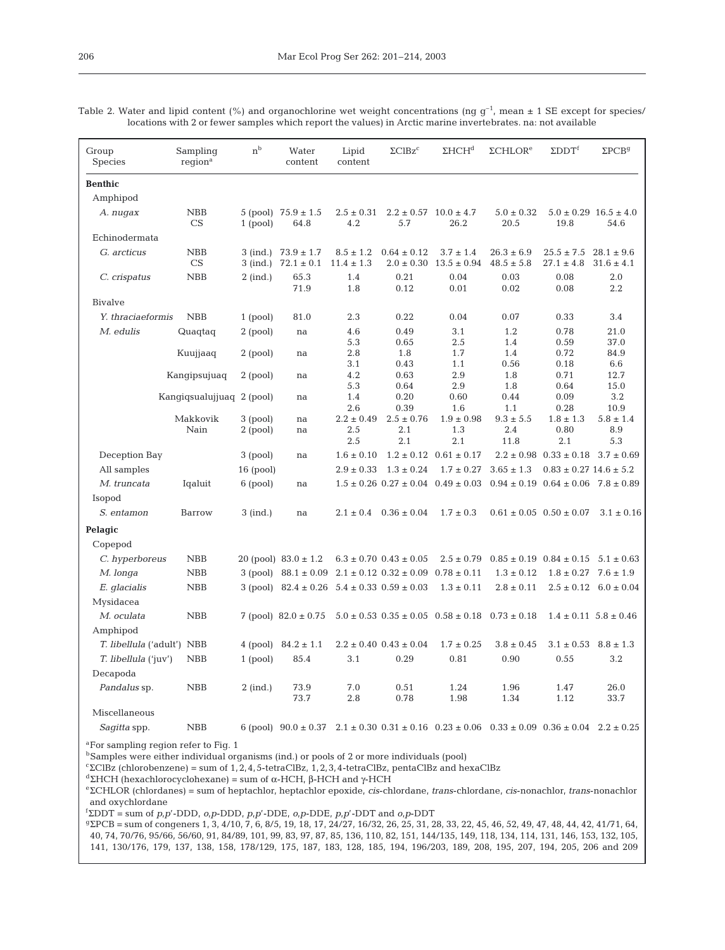| Group<br>Species                                                                                                                                                                                                                                                                    | Sampling<br>region <sup>a</sup> | n <sub>b</sub>         | Water<br>content                                        | Lipid<br>content                | $\Sigma CIBz^c$                      | $\Sigma HCH^d$                                                                                                         | $\Sigma$ CHLOR <sup>e</sup>      | $\Sigma$ DDT <sup>f</sup>                      | $\Sigma$ PCB <sup>g</sup>             |
|-------------------------------------------------------------------------------------------------------------------------------------------------------------------------------------------------------------------------------------------------------------------------------------|---------------------------------|------------------------|---------------------------------------------------------|---------------------------------|--------------------------------------|------------------------------------------------------------------------------------------------------------------------|----------------------------------|------------------------------------------------|---------------------------------------|
| <b>Benthic</b>                                                                                                                                                                                                                                                                      |                                 |                        |                                                         |                                 |                                      |                                                                                                                        |                                  |                                                |                                       |
| Amphipod                                                                                                                                                                                                                                                                            |                                 |                        |                                                         |                                 |                                      |                                                                                                                        |                                  |                                                |                                       |
| A. nugax                                                                                                                                                                                                                                                                            | NBB<br>CS                       | 1 (pool)               | 5 (pool) $75.9 \pm 1.5$<br>64.8                         | $2.5 \pm 0.31$<br>4.2           | $2.2 \pm 0.57$ 10.0 $\pm$ 4.7<br>5.7 | 26.2                                                                                                                   | $5.0 \pm 0.32$<br>20.5           | 19.8                                           | $5.0 \pm 0.29$ $16.5 \pm 4.0$<br>54.6 |
| Echinodermata                                                                                                                                                                                                                                                                       |                                 |                        |                                                         |                                 |                                      |                                                                                                                        |                                  |                                                |                                       |
| G. arcticus                                                                                                                                                                                                                                                                         | <b>NBB</b><br>CS                |                        | 3 (ind.) $73.9 \pm 1.7$<br>3 (ind.) $72.1 \pm 0.1$      | $8.5 \pm 1.2$<br>$11.4 \pm 1.3$ | $0.64 \pm 0.12$<br>$2.0 \pm 0.30$    | $3.7 \pm 1.4$<br>$13.5 \pm 0.94$                                                                                       | $26.3 \pm 6.9$<br>$48.5 \pm 5.8$ | $25.5 \pm 7.5$<br>$27.1 \pm 4.8$               | $28.1 \pm 9.6$<br>$31.6 \pm 4.1$      |
| C. crispatus                                                                                                                                                                                                                                                                        | NBB                             | $2$ (ind.)             | 65.3<br>71.9                                            | 1.4<br>1.8                      | 0.21<br>0.12                         | 0.04<br>0.01                                                                                                           | 0.03<br>0.02                     | 0.08<br>0.08                                   | 2.0<br>2.2                            |
| Bivalve                                                                                                                                                                                                                                                                             |                                 |                        |                                                         |                                 |                                      |                                                                                                                        |                                  |                                                |                                       |
| Y. thraciaeformis                                                                                                                                                                                                                                                                   | <b>NBB</b>                      | $1$ (pool)             | 81.0                                                    | 2.3                             | 0.22                                 | 0.04                                                                                                                   | 0.07                             | 0.33                                           | 3.4                                   |
| M. edulis                                                                                                                                                                                                                                                                           | Quaqtaq                         | 2 (pool)               | na                                                      | 4.6<br>5.3                      | 0.49<br>0.65                         | 3.1<br>2.5                                                                                                             | 1.2<br>1.4                       | 0.78<br>0.59                                   | 21.0<br>37.0                          |
|                                                                                                                                                                                                                                                                                     | Kuujjaaq                        | $2$ (pool)             | na                                                      | 2.8<br>3.1                      | 1.8<br>0.43                          | 1.7<br>1.1                                                                                                             | 1.4<br>0.56                      | 0.72<br>0.18                                   | 84.9<br>6.6                           |
|                                                                                                                                                                                                                                                                                     | Kangipsujuaq                    | $2$ (pool)             | na                                                      | 4.2<br>5.3                      | 0.63<br>0.64                         | 2.9<br>2.9                                                                                                             | 1.8<br>1.8                       | 0.71<br>0.64                                   | 12.7<br>15.0                          |
|                                                                                                                                                                                                                                                                                     | Kangigsualujjuag 2 (pool)       |                        | na                                                      | 1.4<br>2.6                      | 0.20<br>0.39                         | 0.60<br>1.6                                                                                                            | 0.44<br>1.1                      | 0.09<br>0.28                                   | 3.2<br>10.9                           |
|                                                                                                                                                                                                                                                                                     | Makkovik<br>Nain                | 3 (pool)<br>$2$ (pool) | na<br>na                                                | $2.2 \pm 0.49$<br>2.5<br>2.5    | $2.5 \pm 0.76$<br>2.1<br>2.1         | $1.9 \pm 0.98$<br>1.3<br>2.1                                                                                           | $9.3 \pm 5.5$<br>2.4<br>11.8     | $1.8 \pm 1.3$<br>0.80<br>2.1                   | $5.8 \pm 1.4$<br>8.9<br>5.3           |
| Deception Bay                                                                                                                                                                                                                                                                       |                                 | 3 (pool)               | na                                                      | $1.6 \pm 0.10$                  |                                      | $1.2 \pm 0.12$ $0.61 \pm 0.17$                                                                                         |                                  | $2.2 \pm 0.98$ $0.33 \pm 0.18$                 | $3.7 \pm 0.69$                        |
| All samples                                                                                                                                                                                                                                                                         |                                 | $16$ (pool)            |                                                         | $2.9 \pm 0.33$                  | $1.3 \pm 0.24$                       | $1.7 \pm 0.27$                                                                                                         | $3.65 \pm 1.3$                   | $0.83 \pm 0.27$ 14.6 $\pm$ 5.2                 |                                       |
| M. truncata                                                                                                                                                                                                                                                                         | Iqaluit                         | 6 (pool)               | na                                                      |                                 | $1.5 \pm 0.26$ $0.27 \pm 0.04$       | $0.49 \pm 0.03$                                                                                                        |                                  | $0.94 \pm 0.19$ $0.64 \pm 0.06$ $7.8 \pm 0.89$ |                                       |
| Isopod                                                                                                                                                                                                                                                                              |                                 |                        |                                                         |                                 |                                      |                                                                                                                        |                                  |                                                |                                       |
| S. entamon                                                                                                                                                                                                                                                                          | Barrow                          | 3 (ind.)               | na                                                      |                                 | $2.1 \pm 0.4$ $0.36 \pm 0.04$        | $1.7 \pm 0.3$                                                                                                          |                                  | $0.61 \pm 0.05$ $0.50 \pm 0.07$                | $3.1 \pm 0.16$                        |
| Pelagic                                                                                                                                                                                                                                                                             |                                 |                        |                                                         |                                 |                                      |                                                                                                                        |                                  |                                                |                                       |
| Copepod                                                                                                                                                                                                                                                                             |                                 |                        |                                                         |                                 |                                      |                                                                                                                        |                                  |                                                |                                       |
| C. hyperboreus                                                                                                                                                                                                                                                                      | <b>NBB</b>                      |                        | 20 (pool) $83.0 \pm 1.2$                                |                                 | $6.3 \pm 0.70$ $0.43 \pm 0.05$       | $2.5 \pm 0.79$                                                                                                         |                                  | $0.85 \pm 0.19$ $0.84 \pm 0.15$                | $5.1 \pm 0.63$                        |
| M. longa                                                                                                                                                                                                                                                                            | ${\rm NBB}$                     |                        | 3 (pool) $88.1 \pm 0.09$                                |                                 | $2.1 \pm 0.12$ $0.32 \pm 0.09$       | $0.78 \pm 0.11$                                                                                                        | $1.3 \pm 0.12$                   | $1.8 \pm 0.27$                                 | $7.6 \pm 1.9$                         |
| E. glacialis                                                                                                                                                                                                                                                                        | NBB                             |                        | 3 (pool) $82.4 \pm 0.26$ $5.4 \pm 0.33$ $0.59 \pm 0.03$ |                                 |                                      | $1.3 \pm 0.11$                                                                                                         | $2.8 \pm 0.11$                   |                                                | $2.5 \pm 0.12$ 6.0 $\pm$ 0.04         |
| Mysidacea                                                                                                                                                                                                                                                                           |                                 |                        |                                                         |                                 |                                      |                                                                                                                        |                                  |                                                |                                       |
| M. oculata                                                                                                                                                                                                                                                                          | <b>NBB</b>                      |                        | 7 (pool) $82.0 \pm 0.75$                                |                                 |                                      | $5.0 \pm 0.53$ $0.35 \pm 0.05$ $0.58 \pm 0.18$                                                                         | $0.73 \pm 0.18$                  |                                                | $1.4 \pm 0.11$ $5.8 \pm 0.46$         |
| Amphipod                                                                                                                                                                                                                                                                            |                                 |                        |                                                         |                                 |                                      |                                                                                                                        |                                  |                                                |                                       |
| <i>T. libellula</i> ('adult') NBB                                                                                                                                                                                                                                                   |                                 |                        | 4 (pool) $84.2 \pm 1.1$                                 |                                 | $2.2 \pm 0.40$ $0.43 \pm 0.04$       | $1.7 \pm 0.25$                                                                                                         | $3.8 \pm 0.45$                   | $3.1 \pm 0.53$                                 | $8.8 \pm 1.3$                         |
| <i>T. libellula</i> ('juv')                                                                                                                                                                                                                                                         | <b>NBB</b>                      | $1$ (pool)             | 85.4                                                    | 3.1                             | 0.29                                 | 0.81                                                                                                                   | 0.90                             | 0.55                                           | 3.2                                   |
| Decapoda                                                                                                                                                                                                                                                                            |                                 |                        |                                                         |                                 |                                      |                                                                                                                        |                                  |                                                |                                       |
| Pandalus sp.                                                                                                                                                                                                                                                                        | <b>NBB</b>                      | $2$ (ind.)             | 73.9<br>73.7                                            | 7.0<br>2.8                      | 0.51<br>0.78                         | 1.24<br>1.98                                                                                                           | 1.96<br>1.34                     | 1.47<br>1.12                                   | 26.0<br>33.7                          |
| Miscellaneous                                                                                                                                                                                                                                                                       |                                 |                        |                                                         |                                 |                                      |                                                                                                                        |                                  |                                                |                                       |
| Sagitta spp.                                                                                                                                                                                                                                                                        | <b>NBB</b>                      |                        |                                                         |                                 |                                      | 6 (pool) $90.0 \pm 0.37$ $2.1 \pm 0.30$ $0.31 \pm 0.16$ $0.23 \pm 0.06$ $0.33 \pm 0.09$ $0.36 \pm 0.04$ $2.2 \pm 0.25$ |                                  |                                                |                                       |
| <sup>a</sup> For sampling region refer to Fig. 1<br><sup>b</sup> Samples were either individual organisms (ind.) or pools of 2 or more individuals (pool)<br><sup>c</sup> $\Sigma$ ClBz (chlorobenzene) = sum of 1, 2, 4, 5-tetraClBz, 1, 2, 3, 4-tetraClBz, pentaClBz and hexaClBz |                                 |                        |                                                         |                                 |                                      |                                                                                                                        |                                  |                                                |                                       |

Table 2. Water and lipid content (%) and organochlorine wet weight concentrations (ng  $g^{-1}$ , mean  $\pm$  1 SE except for species/ locations with 2 or fewer samples which report the values) in Arctic marine invertebrates. na: not available

 $d\Sigma$ HCH (hexachlorocyclohexane) = sum of α-HCH, β-HCH and γ-HCH

<sup>e</sup>ΣCHLOR (chlordanes) = sum of heptachlor, heptachlor epoxide, *cis*-chlordane, *trans*-chlordane, *cis*-nonachlor, *trans*-nonachlor and oxychlordane

f ΣDDT = sum of *p,p*'-DDD, *o,p*-DDD, *p,p*'-DDE, *o,p*-DDE, *p,p*'-DDT and *o,p*-DDT

<sup>g</sup>ΣPCB = sum of congeners 1, 3, 4/10, 7, 6, 8/5, 19, 18, 17, 24/27, 16/32, 26, 25, 31, 28, 33, 22, 45, 46, 52, 49, 47, 48, 44, 42, 41/71, 64, 40, 74, 70/76, 95/66, 56/60, 91, 84/89, 101, 99, 83, 97, 87, 85, 136, 110, 82, 151, 144/135, 149, 118, 134, 114, 131, 146, 153, 132, 105, 141, 130/176, 179, 137, 138, 158, 178/129, 175, 187, 183, 128, 185, 194, 196/203, 189, 208, 195, 207, 194, 205, 206 and 209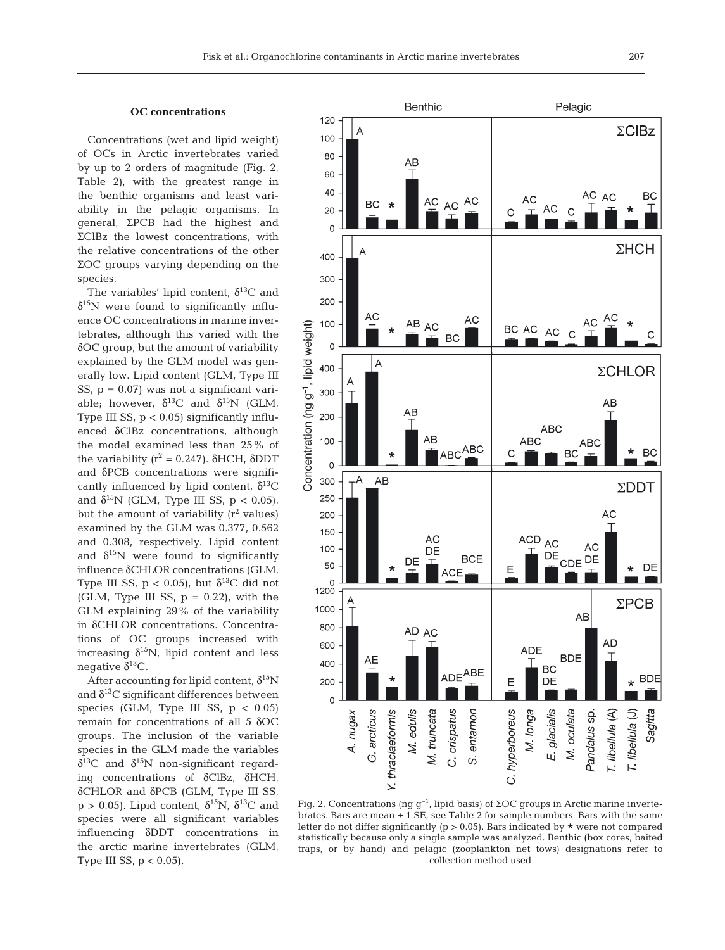#### **OC concentrations**

Concentrations (wet and lipid weight) of OCs in Arctic invertebrates varied by up to 2 orders of magnitude (Fig. 2, Table 2), with the greatest range in the benthic organisms and least variability in the pelagic organisms. In general, ΣPCB had the highest and ΣClBz the lowest concentrations, with the relative concentrations of the other ΣOC groups varying depending on the species.

The variables' lipid content,  $\delta^{13}C$  and  $\delta^{15}$ N were found to significantly influence OC concentrations in marine invertebrates, although this varied with the δOC group, but the amount of variability explained by the GLM model was generally low. Lipid content (GLM, Type III SS,  $p = 0.07$ ) was not a significant variable; however,  $\delta^{13}$ C and  $\delta^{15}$ N (GLM, Type III SS,  $p < 0.05$ ) significantly influenced δClBz concentrations, although the model examined less than 25% of the variability  $(r^2 = 0.247)$ . δHCH, δDDT and δPCB concentrations were significantly influenced by lipid content,  $\delta^{13}C$ and  $\delta^{15}N$  (GLM, Type III SS, p < 0.05), but the amount of variability  $(r^2 \text{ values})$ examined by the GLM was 0.377, 0.562 and 0.308, respectively. Lipid content and  $\delta^{15}$ N were found to significantly influence δCHLOR concentrations (GLM, Type III SS,  $p < 0.05$ , but  $\delta^{13}C$  did not (GLM, Type III SS,  $p = 0.22$ ), with the GLM explaining 29% of the variability in δCHLOR concentrations. Concentrations of OC groups increased with increasing  $\delta^{15}N$ , lipid content and less negative  $δ<sup>13</sup>C$ .

After accounting for lipid content,  $\delta^{15}N$ and  $\delta^{13}$ C significant differences between species (GLM, Type III SS,  $p < 0.05$ ) remain for concentrations of all 5 δOC groups. The inclusion of the variable species in the GLM made the variables  $\delta^{13}$ C and  $\delta^{15}$ N non-significant regarding concentrations of δClBz, δHCH, δCHLOR and δPCB (GLM, Type III SS,  $p > 0.05$ ). Lipid content,  $\delta^{15}N$ ,  $\delta^{13}C$  and species were all significant variables influencing δDDT concentrations in the arctic marine invertebrates (GLM, Type III SS,  $p < 0.05$ ).



Fig. 2. Concentrations (ng  $g^{-1}$ , lipid basis) of ΣOC groups in Arctic marine invertebrates. Bars are mean  $\pm$  1 SE, see Table 2 for sample numbers. Bars with the same letter do not differ significantly ( $p > 0.05$ ). Bars indicated by  $\star$  were not compared statistically because only a single sample was analyzed. Benthic (box cores, baited traps, or by hand) and pelagic (zooplankton net tows) designations refer to collection method used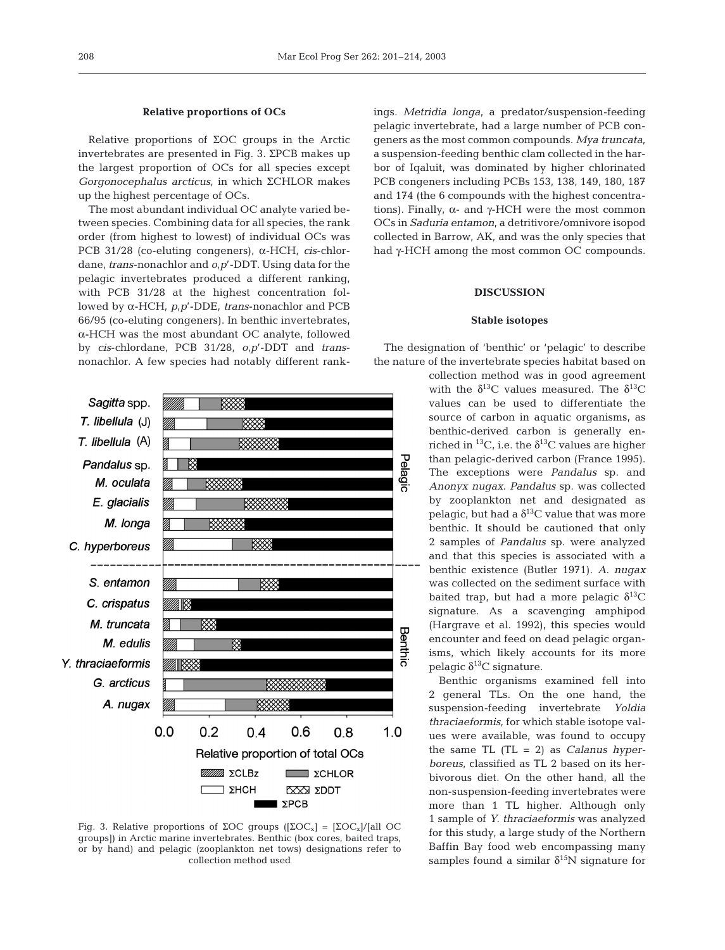#### **Relative proportions of OCs**

Relative proportions of ΣOC groups in the Arctic invertebrates are presented in Fig. 3. ΣPCB makes up the largest proportion of OCs for all species except *Gorgonocephalus arcticus*, in which ΣCHLOR makes up the highest percentage of OCs.

The most abundant individual OC analyte varied between species. Combining data for all species, the rank order (from highest to lowest) of individual OCs was PCB 31/28 (co-eluting congeners), α-HCH, *cis*-chlordane, *trans*-nonachlor and *o,p*'-DDT. Using data for the pelagic invertebrates produced a different ranking, with PCB 31/28 at the highest concentration followed by α-HCH, *p,p*'-DDE, *trans*-nonachlor and PCB 66/95 (co-eluting congeners). In benthic invertebrates, α-HCH was the most abundant OC analyte, followed by *cis*-chlordane, PCB 31/28, *o,p*'-DDT and *trans*nonachlor. A few species had notably different rank-



Fig. 3. Relative proportions of ΣOC groups ( $[2OC_x] = [2OC_x]/[aIIOC$ groups]) in Arctic marine invertebrates. Benthic (box cores, baited traps, or by hand) and pelagic (zooplankton net tows) designations refer to collection method used

ings. *Metridia longa*, a predator/suspension-feeding pelagic invertebrate, had a large number of PCB congeners as the most common compounds. *Mya truncata*, a suspension-feeding benthic clam collected in the harbor of Iqaluit, was dominated by higher chlorinated PCB congeners including PCBs 153, 138, 149, 180, 187 and 174 (the 6 compounds with the highest concentrations). Finally,  $α$ - and γ-HCH were the most common OCs in *Saduria entamon*, a detritivore/omnivore isopod collected in Barrow, AK, and was the only species that had γ-HCH among the most common OC compounds.

# **DISCUSSION**

## **Stable isotopes**

The designation of 'benthic' or 'pelagic' to describe the nature of the invertebrate species habitat based on

> collection method was in good agreement with the  $\delta^{13}$ C values measured. The  $\delta^{13}$ C values can be used to differentiate the source of carbon in aquatic organisms, as benthic-derived carbon is generally enriched in <sup>13</sup>C, i.e. the  $\delta$ <sup>13</sup>C values are higher than pelagic-derived carbon (France 1995). The exceptions were *Pandalus* sp. and *Anonyx nugax*. *Pandalus* sp. was collected by zooplankton net and designated as pelagic, but had a  $\delta^{13}$ C value that was more benthic. It should be cautioned that only 2 samples of *Pandalus* sp. were analyzed and that this species is associated with a benthic existence (Butler 1971). *A. nugax* was collected on the sediment surface with baited trap, but had a more pelagic  $\delta^{13}C$ signature. As a scavenging amphipod (Hargrave et al. 1992), this species would encounter and feed on dead pelagic organisms, which likely accounts for its more pelagic  $\delta^{13}$ C signature.

> Benthic organisms examined fell into 2 general TLs. On the one hand, the suspension-feeding invertebrate *Yoldia thraciaeformis*, for which stable isotope values were available, was found to occupy the same TL (TL = 2) as *Calanus hyperboreus*, classified as TL 2 based on its herbivorous diet. On the other hand, all the non-suspension-feeding invertebrates were more than 1 TL higher. Although only 1 sample of *Y. thraciaeformis* was analyzed for this study, a large study of the Northern Baffin Bay food web encompassing many samples found a similar  $\delta^{15}N$  signature for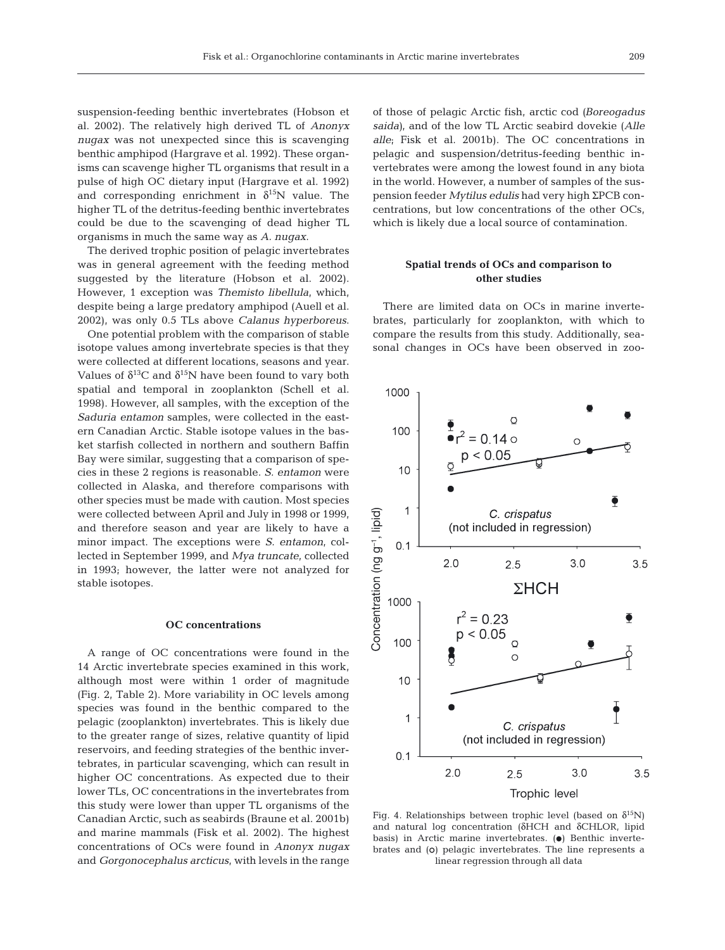suspension-feeding benthic invertebrates (Hobson et al. 2002). The relatively high derived TL of *Anonyx nugax* was not unexpected since this is scavenging benthic amphipod (Hargrave et al. 1992). These organisms can scavenge higher TL organisms that result in a pulse of high OC dietary input (Hargrave et al. 1992) and corresponding enrichment in  $\delta^{15}N$  value. The higher TL of the detritus-feeding benthic invertebrates could be due to the scavenging of dead higher TL organisms in much the same way as *A. nugax*.

The derived trophic position of pelagic invertebrates was in general agreement with the feeding method suggested by the literature (Hobson et al. 2002). However, 1 exception was *Themisto libellula*, which, despite being a large predatory amphipod (Auell et al. 2002), was only 0.5 TLs above *Calanus hyperboreus*.

One potential problem with the comparison of stable isotope values among invertebrate species is that they were collected at different locations, seasons and year. Values of  $\delta^{13}C$  and  $\delta^{15}N$  have been found to vary both spatial and temporal in zooplankton (Schell et al. 1998). However, all samples, with the exception of the *Saduria entamon* samples, were collected in the eastern Canadian Arctic. Stable isotope values in the basket starfish collected in northern and southern Baffin Bay were similar, suggesting that a comparison of species in these 2 regions is reasonable. *S. entamon* were collected in Alaska, and therefore comparisons with other species must be made with caution. Most species were collected between April and July in 1998 or 1999, and therefore season and year are likely to have a minor impact. The exceptions were *S. entamon*, collected in September 1999, and *Mya truncate*, collected in 1993; however, the latter were not analyzed for stable isotopes.

## **OC concentrations**

A range of OC concentrations were found in the 14 Arctic invertebrate species examined in this work, although most were within 1 order of magnitude (Fig. 2, Table 2). More variability in OC levels among species was found in the benthic compared to the pelagic (zooplankton) invertebrates. This is likely due to the greater range of sizes, relative quantity of lipid reservoirs, and feeding strategies of the benthic invertebrates, in particular scavenging, which can result in higher OC concentrations. As expected due to their lower TLs, OC concentrations in the invertebrates from this study were lower than upper TL organisms of the Canadian Arctic, such as seabirds (Braune et al. 2001b) and marine mammals (Fisk et al. 2002). The highest concentrations of OCs were found in *Anonyx nugax* and *Gorgonocephalus arcticus*, with levels in the range

of those of pelagic Arctic fish, arctic cod *(Boreogadus saida)*, and of the low TL Arctic seabird dovekie (*Alle alle*; Fisk et al. 2001b). The OC concentrations in pelagic and suspension/detritus-feeding benthic invertebrates were among the lowest found in any biota in the world. However, a number of samples of the suspension feeder *Mytilus edulis* had very high ΣPCB concentrations, but low concentrations of the other OCs, which is likely due a local source of contamination.

# **Spatial trends of OCs and comparison to other studies**

There are limited data on OCs in marine invertebrates, particularly for zooplankton, with which to compare the results from this study. Additionally, seasonal changes in OCs have been observed in zoo-



Fig. 4. Relationships between trophic level (based on  $\delta^{15}$ N) and natural log concentration (δHCH and δCHLOR, lipid basis) in Arctic marine invertebrates.  $\left( \bullet \right)$  Benthic invertebrates and (o) pelagic invertebrates. The line represents a linear regression through all data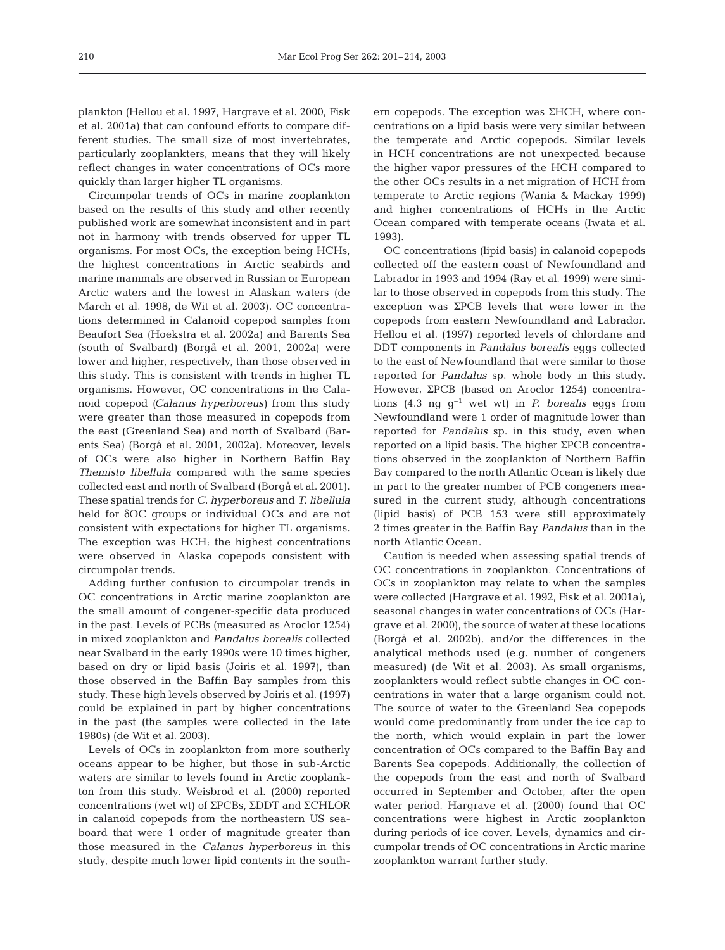plankton (Hellou et al. 1997, Hargrave et al. 2000, Fisk et al. 2001a) that can confound efforts to compare different studies. The small size of most invertebrates, particularly zooplankters, means that they will likely reflect changes in water concentrations of OCs more quickly than larger higher TL organisms.

Circumpolar trends of OCs in marine zooplankton based on the results of this study and other recently published work are somewhat inconsistent and in part not in harmony with trends observed for upper TL organisms. For most OCs, the exception being HCHs, the highest concentrations in Arctic seabirds and marine mammals are observed in Russian or European Arctic waters and the lowest in Alaskan waters (de March et al. 1998, de Wit et al. 2003). OC concentrations determined in Calanoid copepod samples from Beaufort Sea (Hoekstra et al. 2002a) and Barents Sea (south of Svalbard) (Borgå et al. 2001, 2002a) were lower and higher, respectively, than those observed in this study. This is consistent with trends in higher TL organisms. However, OC concentrations in the Calanoid copepod *(Calanus hyperboreus)* from this study were greater than those measured in copepods from the east (Greenland Sea) and north of Svalbard (Barents Sea) (Borgå et al. 2001, 2002a). Moreover, levels of OCs were also higher in Northern Baffin Bay *Themisto libellula* compared with the same species collected east and north of Svalbard (Borgå et al. 2001). These spatial trends for *C. hyperboreus* and *T. libellula* held for δOC groups or individual OCs and are not consistent with expectations for higher TL organisms. The exception was HCH; the highest concentrations were observed in Alaska copepods consistent with circumpolar trends.

Adding further confusion to circumpolar trends in OC concentrations in Arctic marine zooplankton are the small amount of congener-specific data produced in the past. Levels of PCBs (measured as Aroclor 1254) in mixed zooplankton and *Pandalus borealis* collected near Svalbard in the early 1990s were 10 times higher, based on dry or lipid basis (Joiris et al. 1997), than those observed in the Baffin Bay samples from this study. These high levels observed by Joiris et al. (1997) could be explained in part by higher concentrations in the past (the samples were collected in the late 1980s) (de Wit et al. 2003).

Levels of OCs in zooplankton from more southerly oceans appear to be higher, but those in sub-Arctic waters are similar to levels found in Arctic zooplankton from this study. Weisbrod et al. (2000) reported concentrations (wet wt) of ΣPCBs, ΣDDT and ΣCHLOR in calanoid copepods from the northeastern US seaboard that were 1 order of magnitude greater than those measured in the *Calanus hyperboreus* in this study, despite much lower lipid contents in the south-

ern copepods. The exception was ΣHCH, where concentrations on a lipid basis were very similar between the temperate and Arctic copepods. Similar levels in HCH concentrations are not unexpected because the higher vapor pressures of the HCH compared to the other OCs results in a net migration of HCH from temperate to Arctic regions (Wania & Mackay 1999) and higher concentrations of HCHs in the Arctic Ocean compared with temperate oceans (Iwata et al. 1993).

OC concentrations (lipid basis) in calanoid copepods collected off the eastern coast of Newfoundland and Labrador in 1993 and 1994 (Ray et al. 1999) were similar to those observed in copepods from this study. The exception was ΣPCB levels that were lower in the copepods from eastern Newfoundland and Labrador. Hellou et al. (1997) reported levels of chlordane and DDT components in *Pandalus borealis* eggs collected to the east of Newfoundland that were similar to those reported for *Pandalus* sp. whole body in this study. However, ΣPCB (based on Aroclor 1254) concentrations (4.3 ng  $q^{-1}$  wet wt) in *P. borealis* eggs from Newfoundland were 1 order of magnitude lower than reported for *Pandalus* sp. in this study, even when reported on a lipid basis. The higher ΣPCB concentrations observed in the zooplankton of Northern Baffin Bay compared to the north Atlantic Ocean is likely due in part to the greater number of PCB congeners measured in the current study, although concentrations (lipid basis) of PCB 153 were still approximately 2 times greater in the Baffin Bay *Pandalus* than in the north Atlantic Ocean.

Caution is needed when assessing spatial trends of OC concentrations in zooplankton. Concentrations of OCs in zooplankton may relate to when the samples were collected (Hargrave et al. 1992, Fisk et al. 2001a*)*, seasonal changes in water concentrations of OCs (Hargrave et al. 2000), the source of water at these locations (Borgå et al. 2002b), and/or the differences in the analytical methods used (e.g. number of congeners measured) (de Wit et al. 2003). As small organisms, zooplankters would reflect subtle changes in OC concentrations in water that a large organism could not. The source of water to the Greenland Sea copepods would come predominantly from under the ice cap to the north, which would explain in part the lower concentration of OCs compared to the Baffin Bay and Barents Sea copepods. Additionally, the collection of the copepods from the east and north of Svalbard occurred in September and October, after the open water period. Hargrave et al. (2000) found that OC concentrations were highest in Arctic zooplankton during periods of ice cover. Levels, dynamics and circumpolar trends of OC concentrations in Arctic marine zooplankton warrant further study.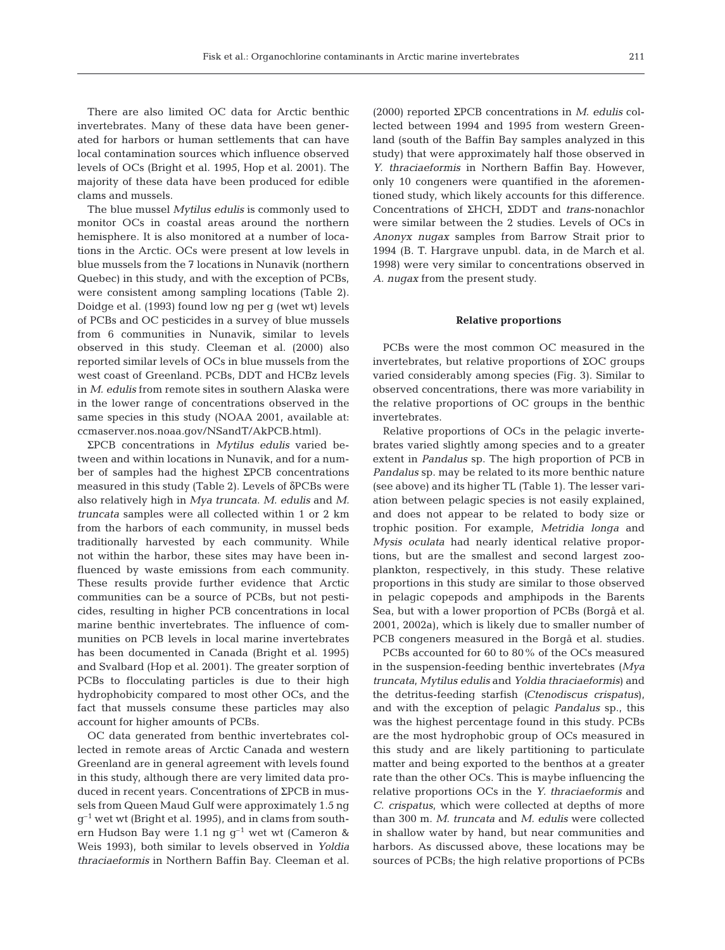There are also limited OC data for Arctic benthic invertebrates. Many of these data have been generated for harbors or human settlements that can have local contamination sources which influence observed levels of OCs (Bright et al. 1995, Hop et al. 2001). The majority of these data have been produced for edible clams and mussels.

The blue mussel *Mytilus edulis* is commonly used to monitor OCs in coastal areas around the northern hemisphere. It is also monitored at a number of locations in the Arctic. OCs were present at low levels in blue mussels from the 7 locations in Nunavik (northern Quebec) in this study, and with the exception of PCBs, were consistent among sampling locations (Table 2). Doidge et al. (1993) found low ng per g (wet wt) levels of PCBs and OC pesticides in a survey of blue mussels from 6 communities in Nunavik, similar to levels observed in this study. Cleeman et al. (2000) also reported similar levels of OCs in blue mussels from the west coast of Greenland. PCBs, DDT and HCBz levels in *M. edulis* from remote sites in southern Alaska were in the lower range of concentrations observed in the same species in this study (NOAA 2001, available at: ccmaserver.nos.noaa.gov/NSandT/AkPCB.html).

ΣPCB concentrations in *Mytilus edulis* varied between and within locations in Nunavik, and for a number of samples had the highest ΣPCB concentrations measured in this study (Table 2). Levels of δPCBs were also relatively high in *Mya truncata*. *M. edulis* and *M. truncata* samples were all collected within 1 or 2 km from the harbors of each community, in mussel beds traditionally harvested by each community. While not within the harbor, these sites may have been influenced by waste emissions from each community. These results provide further evidence that Arctic communities can be a source of PCBs, but not pesticides, resulting in higher PCB concentrations in local marine benthic invertebrates. The influence of communities on PCB levels in local marine invertebrates has been documented in Canada (Bright et al. 1995) and Svalbard (Hop et al. 2001). The greater sorption of PCBs to flocculating particles is due to their high hydrophobicity compared to most other OCs, and the fact that mussels consume these particles may also account for higher amounts of PCBs.

OC data generated from benthic invertebrates collected in remote areas of Arctic Canada and western Greenland are in general agreement with levels found in this study, although there are very limited data produced in recent years. Concentrations of ΣPCB in mussels from Queen Maud Gulf were approximately 1.5 ng  $q^{-1}$  wet wt (Bright et al. 1995), and in clams from southern Hudson Bay were 1.1 ng  $q^{-1}$  wet wt (Cameron & Weis 1993), both similar to levels observed in *Yoldia thraciaeformis* in Northern Baffin Bay. Cleeman et al.

(2000) reported ΣPCB concentrations in *M. edulis* collected between 1994 and 1995 from western Greenland (south of the Baffin Bay samples analyzed in this study) that were approximately half those observed in *Y. thraciaeformis* in Northern Baffin Bay. However, only 10 congeners were quantified in the aforementioned study, which likely accounts for this difference. Concentrations of ΣHCH, ΣDDT and *trans*-nonachlor were similar between the 2 studies. Levels of OCs in *Anonyx nugax* samples from Barrow Strait prior to 1994 (B. T. Hargrave unpubl. data, in de March et al. 1998) were very similar to concentrations observed in *A. nugax* from the present study.

#### **Relative proportions**

PCBs were the most common OC measured in the invertebrates, but relative proportions of ΣOC groups varied considerably among species (Fig. 3). Similar to observed concentrations, there was more variability in the relative proportions of OC groups in the benthic invertebrates.

Relative proportions of OCs in the pelagic invertebrates varied slightly among species and to a greater extent in *Pandalus* sp. The high proportion of PCB in *Pandalus* sp. may be related to its more benthic nature (see above) and its higher TL (Table 1). The lesser variation between pelagic species is not easily explained, and does not appear to be related to body size or trophic position. For example, *Metridia longa* and *Mysis oculata* had nearly identical relative proportions, but are the smallest and second largest zooplankton, respectively, in this study. These relative proportions in this study are similar to those observed in pelagic copepods and amphipods in the Barents Sea, but with a lower proportion of PCBs (Borgå et al. 2001, 2002a), which is likely due to smaller number of PCB congeners measured in the Borgå et al. studies.

PCBs accounted for 60 to 80% of the OCs measured in the suspension-feeding benthic invertebrates (*Mya truncata*, *Mytilus edulis* and *Yoldia thraciaeformis*) and the detritus-feeding starfish *(Ctenodiscus crispatus*), and with the exception of pelagic *Pandalus* sp., this was the highest percentage found in this study. PCBs are the most hydrophobic group of OCs measured in this study and are likely partitioning to particulate matter and being exported to the benthos at a greater rate than the other OCs. This is maybe influencing the relative proportions OCs in the *Y. thraciaeformis* and *C. crispatus*, which were collected at depths of more than 300 m. *M. truncata* and *M. edulis* were collected in shallow water by hand, but near communities and harbors. As discussed above, these locations may be sources of PCBs; the high relative proportions of PCBs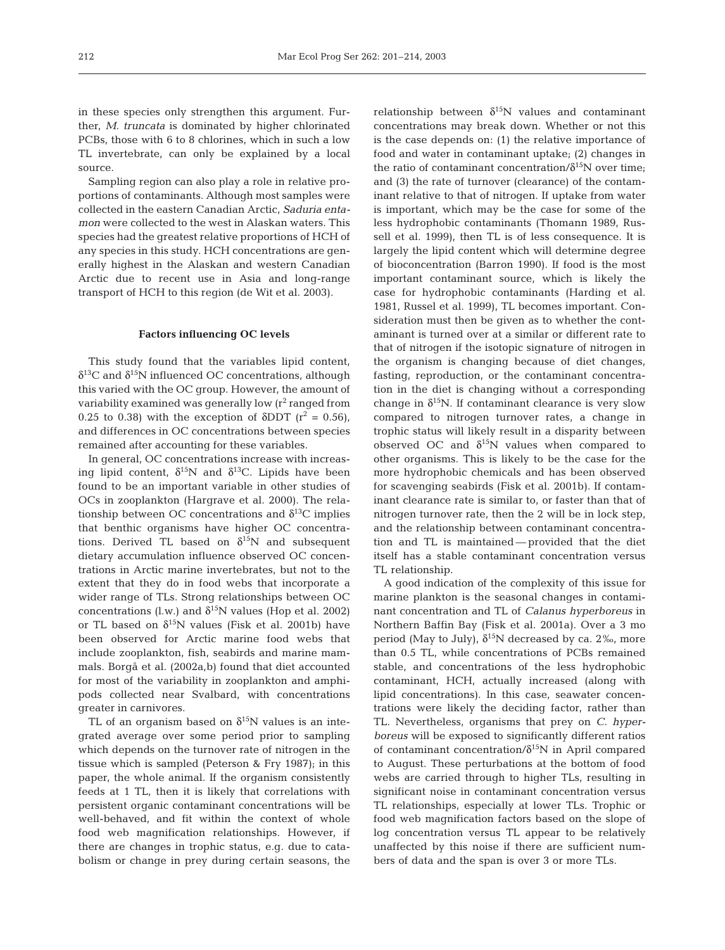in these species only strengthen this argument. Further, *M. truncata* is dominated by higher chlorinated PCBs, those with 6 to 8 chlorines, which in such a low TL invertebrate, can only be explained by a local source.

Sampling region can also play a role in relative proportions of contaminants. Although most samples were collected in the eastern Canadian Arctic, *Saduria entamon* were collected to the west in Alaskan waters. This species had the greatest relative proportions of HCH of any species in this study. HCH concentrations are generally highest in the Alaskan and western Canadian Arctic due to recent use in Asia and long-range transport of HCH to this region (de Wit et al. 2003).

#### **Factors influencing OC levels**

This study found that the variables lipid content,  $δ<sup>13</sup>C$  and  $δ<sup>15</sup>N$  influenced OC concentrations, although this varied with the OC group. However, the amount of variability examined was generally low  $(r^2 \text{ ranged from})$ 0.25 to 0.38) with the exception of  $\delta$ DDT ( $r^2$  = 0.56), and differences in OC concentrations between species remained after accounting for these variables.

In general, OC concentrations increase with increasing lipid content,  $\delta^{15}N$  and  $\delta^{13}C$ . Lipids have been found to be an important variable in other studies of OCs in zooplankton (Hargrave et al. 2000). The relationship between OC concentrations and  $\delta^{13}$ C implies that benthic organisms have higher OC concentrations. Derived TL based on  $\delta^{15}N$  and subsequent dietary accumulation influence observed OC concentrations in Arctic marine invertebrates, but not to the extent that they do in food webs that incorporate a wider range of TLs. Strong relationships between OC concentrations (l.w.) and  $\delta^{15}N$  values (Hop et al. 2002) or TL based on  $\delta^{15}N$  values (Fisk et al. 2001b) have been observed for Arctic marine food webs that include zooplankton, fish, seabirds and marine mammals. Borgå et al. (2002a,b) found that diet accounted for most of the variability in zooplankton and amphipods collected near Svalbard, with concentrations greater in carnivores.

TL of an organism based on  $\delta^{15}N$  values is an integrated average over some period prior to sampling which depends on the turnover rate of nitrogen in the tissue which is sampled (Peterson & Fry 1987); in this paper, the whole animal. If the organism consistently feeds at 1 TL, then it is likely that correlations with persistent organic contaminant concentrations will be well-behaved, and fit within the context of whole food web magnification relationships. However, if there are changes in trophic status, e.g. due to catabolism or change in prey during certain seasons, the

relationship between  $\delta^{15}N$  values and contaminant concentrations may break down. Whether or not this is the case depends on: (1) the relative importance of food and water in contaminant uptake; (2) changes in the ratio of contaminant concentration/ $\delta^{15}N$  over time; and (3) the rate of turnover (clearance) of the contaminant relative to that of nitrogen. If uptake from water is important, which may be the case for some of the less hydrophobic contaminants (Thomann 1989, Russell et al. 1999), then TL is of less consequence. It is largely the lipid content which will determine degree of bioconcentration (Barron 1990). If food is the most important contaminant source, which is likely the case for hydrophobic contaminants (Harding et al. 1981, Russel et al. 1999), TL becomes important. Consideration must then be given as to whether the contaminant is turned over at a similar or different rate to that of nitrogen if the isotopic signature of nitrogen in the organism is changing because of diet changes, fasting, reproduction, or the contaminant concentration in the diet is changing without a corresponding change in  $\delta^{15}N$ . If contaminant clearance is very slow compared to nitrogen turnover rates, a change in trophic status will likely result in a disparity between observed OC and  $\delta^{15}N$  values when compared to other organisms. This is likely to be the case for the more hydrophobic chemicals and has been observed for scavenging seabirds (Fisk et al. 2001b). If contaminant clearance rate is similar to, or faster than that of nitrogen turnover rate, then the 2 will be in lock step, and the relationship between contaminant concentration and TL is maintained — provided that the diet itself has a stable contaminant concentration versus TL relationship.

A good indication of the complexity of this issue for marine plankton is the seasonal changes in contaminant concentration and TL of *Calanus hyperboreus* in Northern Baffin Bay (Fisk et al. 2001a). Over a 3 mo period (May to July),  $\delta^{15}N$  decreased by ca. 2‰, more than 0.5 TL, while concentrations of PCBs remained stable, and concentrations of the less hydrophobic contaminant, HCH, actually increased (along with lipid concentrations). In this case, seawater concentrations were likely the deciding factor, rather than TL. Nevertheless, organisms that prey on *C. hyperboreus* will be exposed to significantly different ratios of contaminant concentration/δ15N in April compared to August. These perturbations at the bottom of food webs are carried through to higher TLs, resulting in significant noise in contaminant concentration versus TL relationships, especially at lower TLs. Trophic or food web magnification factors based on the slope of log concentration versus TL appear to be relatively unaffected by this noise if there are sufficient numbers of data and the span is over 3 or more TLs.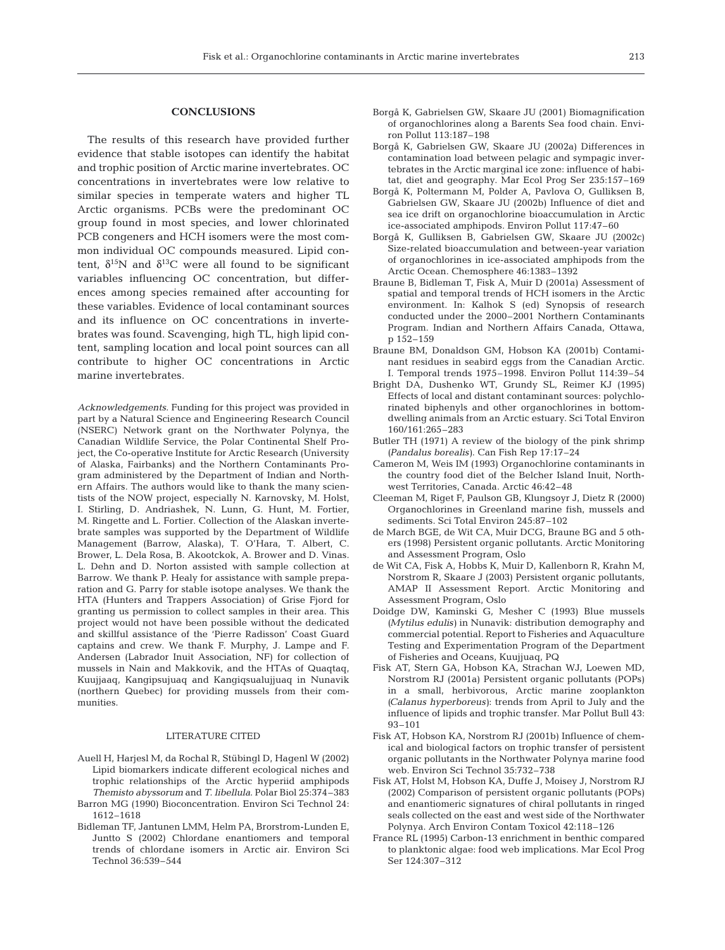#### **CONCLUSIONS**

The results of this research have provided further evidence that stable isotopes can identify the habitat and trophic position of Arctic marine invertebrates. OC concentrations in invertebrates were low relative to similar species in temperate waters and higher TL Arctic organisms. PCBs were the predominant OC group found in most species, and lower chlorinated PCB congeners and HCH isomers were the most common individual OC compounds measured. Lipid content,  $\delta^{15}$ N and  $\delta^{13}$ C were all found to be significant variables influencing OC concentration, but differences among species remained after accounting for these variables. Evidence of local contaminant sources and its influence on OC concentrations in invertebrates was found. Scavenging, high TL, high lipid content, sampling location and local point sources can all contribute to higher OC concentrations in Arctic marine invertebrates.

*Acknowledgements.* Funding for this project was provided in part by a Natural Science and Engineering Research Council (NSERC) Network grant on the Northwater Polynya, the Canadian Wildlife Service, the Polar Continental Shelf Project, the Co-operative Institute for Arctic Research (University of Alaska, Fairbanks) and the Northern Contaminants Program administered by the Department of Indian and Northern Affairs. The authors would like to thank the many scientists of the NOW project, especially N. Karnovsky, M. Holst, I. Stirling, D. Andriashek, N. Lunn, G. Hunt, M. Fortier, M. Ringette and L. Fortier. Collection of the Alaskan invertebrate samples was supported by the Department of Wildlife Management (Barrow, Alaska), T. O'Hara, T. Albert, C. Brower, L. Dela Rosa, B. Akootckok, A. Brower and D. Vinas. L. Dehn and D. Norton assisted with sample collection at Barrow. We thank P. Healy for assistance with sample preparation and G. Parry for stable isotope analyses. We thank the HTA (Hunters and Trappers Association) of Grise Fjord for granting us permission to collect samples in their area. This project would not have been possible without the dedicated and skillful assistance of the 'Pierre Radisson' Coast Guard captains and crew. We thank F. Murphy, J. Lampe and F. Andersen (Labrador Inuit Association, NF) for collection of mussels in Nain and Makkovik, and the HTAs of Quaqtaq, Kuujjaaq, Kangipsujuaq and Kangiqsualujjuaq in Nunavik (northern Quebec) for providing mussels from their communities.

#### LITERATURE CITED

- Auell H, Harjesl M, da Rochal R, Stübingl D, Hagenl W (2002) Lipid biomarkers indicate different ecological niches and trophic relationships of the Arctic hyperiid amphipods *Themisto abyssorum* and *T. libellula*. Polar Biol 25:374–383
- Barron MG (1990) Bioconcentration. Environ Sci Technol 24: 1612–1618
- Bidleman TF, Jantunen LMM, Helm PA, Brorstrom-Lunden E, Juntto S (2002) Chlordane enantiomers and temporal trends of chlordane isomers in Arctic air. Environ Sci Technol 36:539–544
- Borgå K, Gabrielsen GW, Skaare JU (2001) Biomagnification of organochlorines along a Barents Sea food chain. Environ Pollut 113:187–198
- Borgå K, Gabrielsen GW, Skaare JU (2002a) Differences in contamination load between pelagic and sympagic invertebrates in the Arctic marginal ice zone: influence of habitat, diet and geography. Mar Ecol Prog Ser 235:157–169
- Borgå K, Poltermann M, Polder A, Pavlova O, Gulliksen B, Gabrielsen GW, Skaare JU (2002b) Influence of diet and sea ice drift on organochlorine bioaccumulation in Arctic ice-associated amphipods. Environ Pollut 117:47–60
- Borgå K, Gulliksen B, Gabrielsen GW, Skaare JU (2002c) Size-related bioaccumulation and between-year variation of organochlorines in ice-associated amphipods from the Arctic Ocean. Chemosphere 46:1383–1392
- Braune B, Bidleman T, Fisk A, Muir D (2001a) Assessment of spatial and temporal trends of HCH isomers in the Arctic environment. In: Kalhok S (ed) Synopsis of research conducted under the 2000–2001 Northern Contaminants Program. Indian and Northern Affairs Canada, Ottawa, p 152–159
- Braune BM, Donaldson GM, Hobson KA (2001b) Contaminant residues in seabird eggs from the Canadian Arctic. I. Temporal trends 1975–1998. Environ Pollut 114:39–54
- Bright DA, Dushenko WT, Grundy SL, Reimer KJ (1995) Effects of local and distant contaminant sources: polychlorinated biphenyls and other organochlorines in bottomdwelling animals from an Arctic estuary. Sci Total Environ 160/161:265–283
- Butler TH (1971) A review of the biology of the pink shrimp *(Pandalus borealis)*. Can Fish Rep 17:17–24
- Cameron M, Weis IM (1993) Organochlorine contaminants in the country food diet of the Belcher Island Inuit, Northwest Territories, Canada. Arctic 46:42–48
- Cleeman M, Riget F, Paulson GB, Klungsoyr J, Dietz R (2000) Organochlorines in Greenland marine fish, mussels and sediments. Sci Total Environ 245:87–102
- de March BGE, de Wit CA, Muir DCG, Braune BG and 5 others (1998) Persistent organic pollutants. Arctic Monitoring and Assessment Program, Oslo
- de Wit CA, Fisk A, Hobbs K, Muir D, Kallenborn R, Krahn M, Norstrom R, Skaare J (2003) Persistent organic pollutants, AMAP II Assessment Report. Arctic Monitoring and Assessment Program, Oslo
- Doidge DW, Kaminski G, Mesher C (1993) Blue mussels *(Mytilus edulis)* in Nunavik: distribution demography and commercial potential. Report to Fisheries and Aquaculture Testing and Experimentation Program of the Department of Fisheries and Oceans, Kuujjuaq, PQ
- Fisk AT, Stern GA, Hobson KA, Strachan WJ, Loewen MD, Norstrom RJ (2001a) Persistent organic pollutants (POPs) in a small, herbivorous, Arctic marine zooplankton *(Calanus hyperboreus)*: trends from April to July and the influence of lipids and trophic transfer. Mar Pollut Bull 43: 93–101
- Fisk AT, Hobson KA, Norstrom RJ (2001b) Influence of chemical and biological factors on trophic transfer of persistent organic pollutants in the Northwater Polynya marine food web. Environ Sci Technol 35:732–738
- Fisk AT, Holst M, Hobson KA, Duffe J, Moisey J, Norstrom RJ (2002) Comparison of persistent organic pollutants (POPs) and enantiomeric signatures of chiral pollutants in ringed seals collected on the east and west side of the Northwater Polynya. Arch Environ Contam Toxicol 42:118–126
- France RL (1995) Carbon-13 enrichment in benthic compared to planktonic algae: food web implications. Mar Ecol Prog Ser 124:307–312